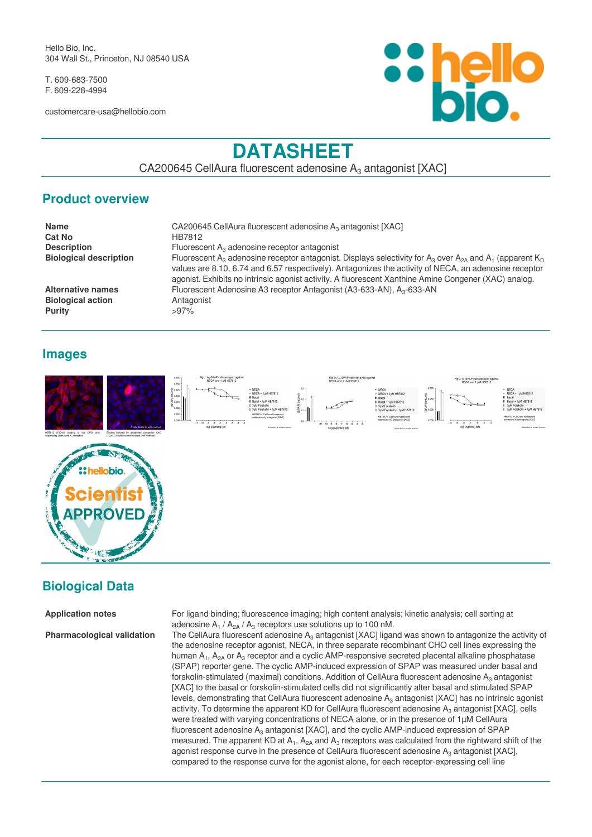Hello Bio, Inc. 304 Wall St., Princeton, NJ 08540 USA

T. 609-683-7500 F. 609-228-4994

customercare-usa@hellobio.com



# **DATASHEET**

CA200645 CellAura fluorescent adenosine  $A_3$  antagonist [XAC]

#### **Product overview**

| Name                          | CA200645 CellAura fluorescent adenosine A <sub>3</sub> antagonist [XAC]                                                                                                                                                                                                                                                                                                             |  |
|-------------------------------|-------------------------------------------------------------------------------------------------------------------------------------------------------------------------------------------------------------------------------------------------------------------------------------------------------------------------------------------------------------------------------------|--|
| <b>Cat No</b>                 | HB7812                                                                                                                                                                                                                                                                                                                                                                              |  |
| <b>Description</b>            | Fluorescent $A_3$ adenosine receptor antagonist                                                                                                                                                                                                                                                                                                                                     |  |
| <b>Biological description</b> | Fluorescent A <sub>3</sub> adenosine receptor antagonist. Displays selectivity for A <sub>3</sub> over A <sub>2A</sub> and A <sub>1</sub> (apparent K <sub>D</sub><br>values are 8.10, 6.74 and 6.57 respectively). Antagonizes the activity of NECA, an adenosine receptor<br>agonist. Exhibits no intrinsic agonist activity. A fluorescent Xanthine Amine Congener (XAC) analog. |  |
| Alternative names             | Fluorescent Adenosine A3 receptor Antagonist (A3-633-AN), A <sub>3</sub> -633-AN                                                                                                                                                                                                                                                                                                    |  |
| <b>Biological action</b>      | Antagonist                                                                                                                                                                                                                                                                                                                                                                          |  |
| Purity                        | $>97\%$                                                                                                                                                                                                                                                                                                                                                                             |  |

#### **Images**

**Purity** 



#### **Biological Data**

**Application notes** For ligand binding; fluorescence imaging; high content analysis; kinetic analysis; cell sorting at adenosine  $A_1 / A_{2A} / A_3$  receptors use solutions up to 100 nM.

**Pharmacological validation** The CellAura fluorescent adenosine A<sub>3</sub> antagonist [XAC] ligand was shown to antagonize the activity of the adenosine receptor agonist, NECA, in three separate recombinant CHO cell lines expressing the human  $A_1$ ,  $A_{2A}$  or  $A_3$  receptor and a cyclic AMP-responsive secreted placental alkaline phosphatase (SPAP) reporter gene. The cyclic AMP-induced expression of SPAP was measured under basal and forskolin-stimulated (maximal) conditions. Addition of CellAura fluorescent adenosine  $\mathsf{A}_3$  antagonist [XAC] to the basal or forskolin-stimulated cells did not significantly alter basal and stimulated SPAP levels, demonstrating that CellAura fluorescent adenosine  $A_3$  antagonist [XAC] has no intrinsic agonist activity. To determine the apparent KD for CellAura fluorescent adenosine A<sub>3</sub> antagonist [XAC], cells were treated with varying concentrations of NECA alone, or in the presence of 1µM CellAura fluorescent adenosine  $A_3$  antagonist [XAC], and the cyclic AMP-induced expression of SPAP measured. The apparent KD at  $A_1$ ,  $A_{2A}$  and  $A_3$  receptors was calculated from the rightward shift of the agonist response curve in the presence of CellAura fluorescent adenosine  $A_3$  antagonist [XAC], compared to the response curve for the agonist alone, for each receptor-expressing cell line